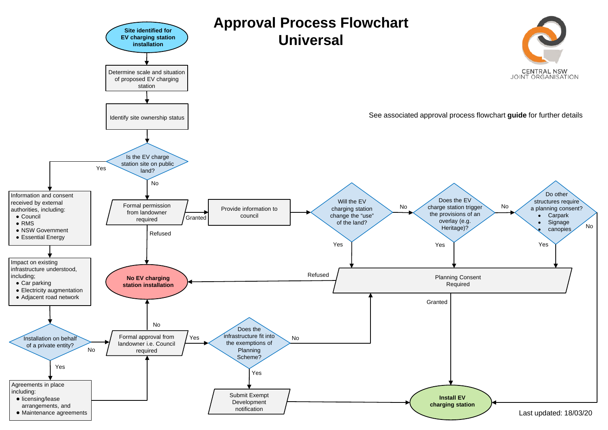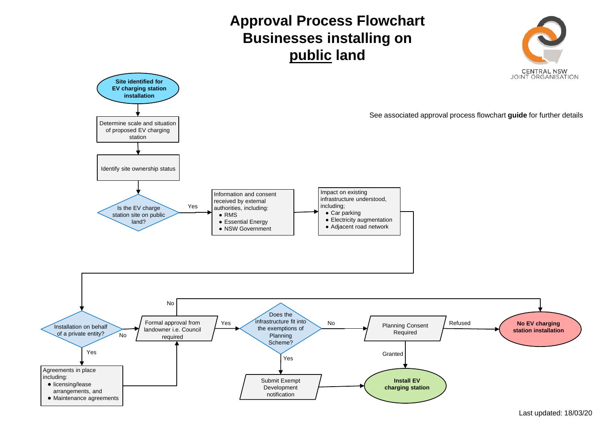## **Approval Process Flowchart Businesses installing on public land**